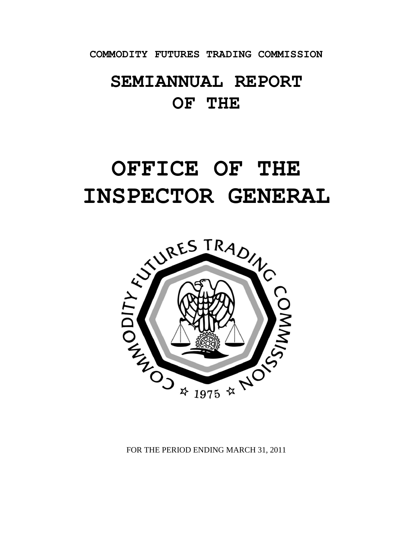**COMMODITY FUTURES TRADING COMMISSION**

## **SEMIANNUAL REPORT OF THE**

# **OFFICE OF THE INSPECTOR GENERAL**



FOR THE PERIOD ENDING MARCH 31, 2011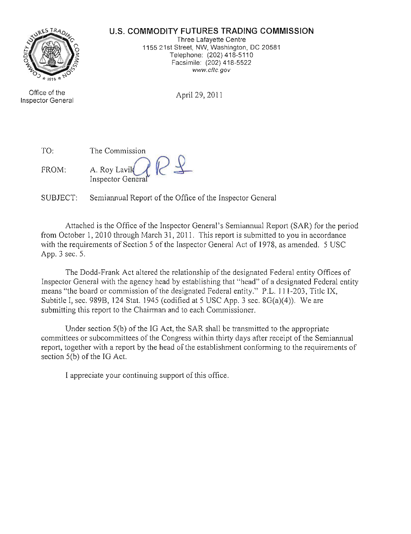#### **u.s. COMMODITY FUTURES TRADING COMMISSION**



Office of the Inspector General

Three Lafayette Centre 1155 21st Street, NW, Washington, DC 20581 Telephone: (202) 418-5110 Facsimile: (202) 418-5522 **www.cftc.gov**

April 29, 2011

| TO:   | The Commission                                  |
|-------|-------------------------------------------------|
| FROM: | A. Roy Lavik $\mathcal{A}$<br>Inspector General |

SUBJECT: Semiannual Report of the Office of the Inspector General

Attached is the Office of the Inspector General's Semiannual Report (SAR) for the period from October 1,2010 through March 31, 2011. This report is submitted to you in accordance with the requirements of Section 5 of the Inspector General Act of 1978, as amended. 5 USC App. 3 sec. 5.

The Dodd-Frank Act altered the relationship of the designated Federal entity Offices of Inspector General with the agency head by establishing that "head" of a designated Federal entity means "the board or commission of the designated Federal entity." P.L. 111-203, Title IX, Subtitle I, sec. 989B, 124 Stat. 1945 (codified at 5 USC App. 3 sec.  $8G(a)(4)$ ). We are submitting this report to the Chairman and to each Commissioner.

Under section  $5(b)$  of the IG Act, the SAR shall be transmitted to the appropriate committees or subcommittees of the Congress within thirty days after receipt of the Semiannual report, together with a report by the head of the establishment conforming to the requirements of section  $5(b)$  of the IG Act.

I appreciate your continuing support of this office.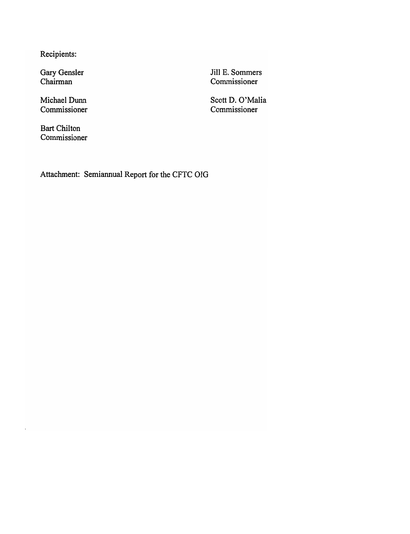Recipients:

Gary Gensler Chairman

Michael Dunn Commissioner

Bart Chilton Commissioner Jill E. Sommers Commissioner

Scott D. O'Malia Commissioner

Attachment: Semiannual Report for the CFTC 01G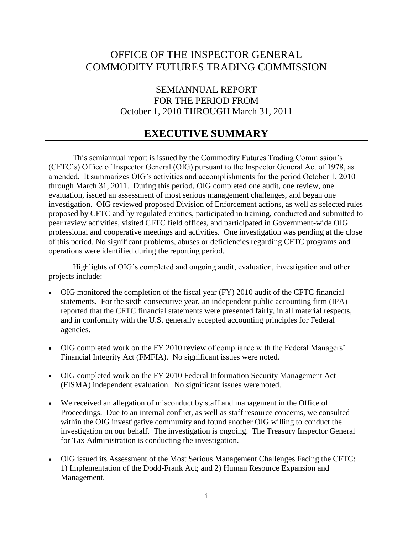## OFFICE OF THE INSPECTOR GENERAL COMMODITY FUTURES TRADING COMMISSION

SEMIANNUAL REPORT FOR THE PERIOD FROM October 1, 2010 THROUGH March 31, 2011

## <span id="page-3-0"></span>**EXECUTIVE SUMMARY**

This semiannual report is issued by the Commodity Futures Trading Commission's (CFTC's) Office of Inspector General (OIG) pursuant to the Inspector General Act of 1978, as amended. It summarizes OIG's activities and accomplishments for the period October 1, 2010 through March 31, 2011. During this period, OIG completed one audit, one review, one evaluation, issued an assessment of most serious management challenges, and began one investigation. OIG reviewed proposed Division of Enforcement actions, as well as selected rules proposed by CFTC and by regulated entities, participated in training, conducted and submitted to peer review activities, visited CFTC field offices, and participated in Government-wide OIG professional and cooperative meetings and activities. One investigation was pending at the close of this period. No significant problems, abuses or deficiencies regarding CFTC programs and operations were identified during the reporting period.

Highlights of OIG's completed and ongoing audit, evaluation, investigation and other projects include:

- OIG monitored the completion of the fiscal year (FY) 2010 audit of the CFTC financial statements. For the sixth consecutive year, an independent public accounting firm (IPA) reported that the CFTC financial statements were presented fairly, in all material respects, and in conformity with the U.S. generally accepted accounting principles for Federal agencies.
- OIG completed work on the FY 2010 review of compliance with the Federal Managers' Financial Integrity Act (FMFIA). No significant issues were noted.
- OIG completed work on the FY 2010 Federal Information Security Management Act (FISMA) independent evaluation. No significant issues were noted.
- We received an allegation of misconduct by staff and management in the Office of Proceedings. Due to an internal conflict, as well as staff resource concerns, we consulted within the OIG investigative community and found another OIG willing to conduct the investigation on our behalf. The investigation is ongoing. The Treasury Inspector General for Tax Administration is conducting the investigation.
- OIG issued its Assessment of the Most Serious Management Challenges Facing the CFTC: 1) Implementation of the Dodd-Frank Act; and 2) Human Resource Expansion and Management.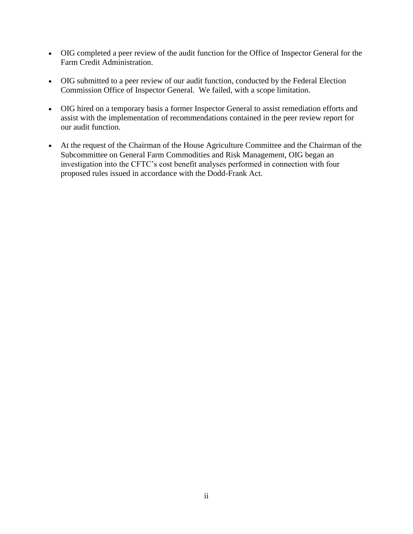- OIG completed a peer review of the audit function for the Office of Inspector General for the Farm Credit Administration.
- OIG submitted to a peer review of our audit function, conducted by the Federal Election Commission Office of Inspector General. We failed, with a scope limitation.
- OIG hired on a temporary basis a former Inspector General to assist remediation efforts and assist with the implementation of recommendations contained in the peer review report for our audit function.
- At the request of the Chairman of the House Agriculture Committee and the Chairman of the Subcommittee on General Farm Commodities and Risk Management, OIG began an investigation into the CFTC's cost benefit analyses performed in connection with four proposed rules issued in accordance with the Dodd-Frank Act.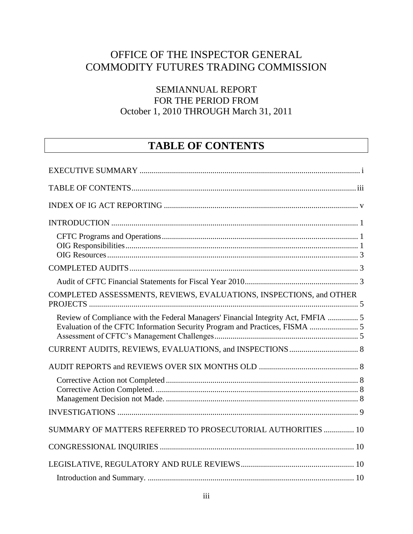## OFFICE OF THE INSPECTOR GENERAL COMMODITY FUTURES TRADING COMMISSION

## SEMIANNUAL REPORT FOR THE PERIOD FROM October 1, 2010 THROUGH March 31, 2011

## <span id="page-5-0"></span>**TABLE OF CONTENTS**

| COMPLETED ASSESSMENTS, REVIEWS, EVALUATIONS, INSPECTIONS, and OTHER               |  |
|-----------------------------------------------------------------------------------|--|
| Review of Compliance with the Federal Managers' Financial Integrity Act, FMFIA  5 |  |
|                                                                                   |  |
|                                                                                   |  |
|                                                                                   |  |
|                                                                                   |  |
| SUMMARY OF MATTERS REFERRED TO PROSECUTORIAL AUTHORITIES  10                      |  |
|                                                                                   |  |
|                                                                                   |  |
|                                                                                   |  |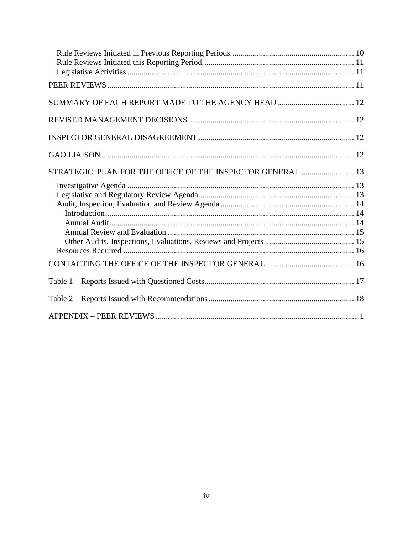| STRATEGIC PLAN FOR THE OFFICE OF THE INSPECTOR GENERAL  13 |  |
|------------------------------------------------------------|--|
|                                                            |  |
|                                                            |  |
|                                                            |  |
|                                                            |  |
|                                                            |  |
|                                                            |  |
|                                                            |  |
|                                                            |  |
|                                                            |  |
|                                                            |  |
|                                                            |  |
|                                                            |  |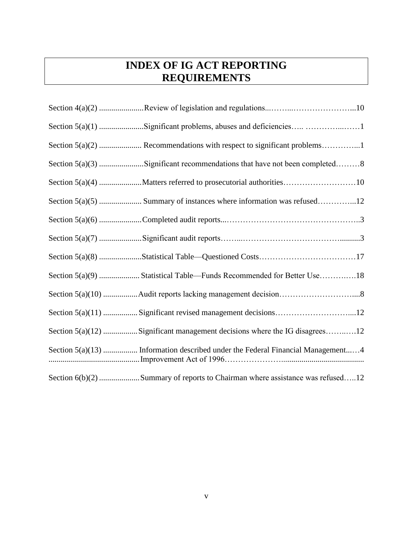## <span id="page-7-0"></span>**INDEX OF IG ACT REPORTING REQUIREMENTS**

| Section 5(a)(1) Significant problems, abuses and deficiencies 1                 |
|---------------------------------------------------------------------------------|
|                                                                                 |
| Section $5(a)(3)$ Significant recommendations that have not been completed8     |
|                                                                                 |
| Section $5(a)(5)$ Summary of instances where information was refused12          |
|                                                                                 |
|                                                                                 |
|                                                                                 |
|                                                                                 |
| Section 5(a)(10) Audit reports lacking management decision8                     |
| Section 5(a)(11)  Significant revised management decisions12                    |
| Section 5(a)(12) Significant management decisions where the IG disagrees12      |
| Section 5(a)(13)  Information described under the Federal Financial Management4 |
| Section 6(b)(2) Summary of reports to Chairman where assistance was refused12   |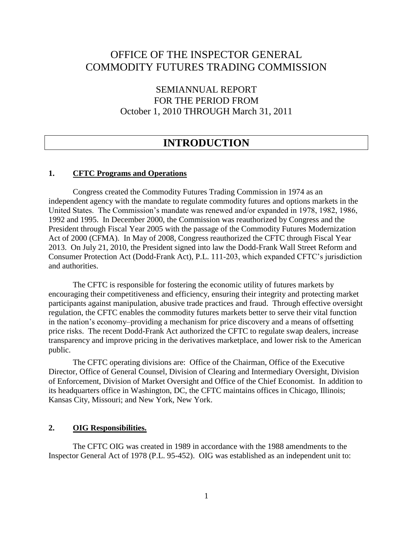## OFFICE OF THE INSPECTOR GENERAL COMMODITY FUTURES TRADING COMMISSION

SEMIANNUAL REPORT FOR THE PERIOD FROM October 1, 2010 THROUGH March 31, 2011

## <span id="page-8-1"></span><span id="page-8-0"></span>**INTRODUCTION**

#### **1. CFTC Programs and Operations**

Congress created the Commodity Futures Trading Commission in 1974 as an independent agency with the mandate to regulate commodity futures and options markets in the United States. The Commission's mandate was renewed and/or expanded in 1978, 1982, 1986, 1992 and 1995. In December 2000, the Commission was reauthorized by Congress and the President through Fiscal Year 2005 with the passage of the Commodity Futures Modernization Act of 2000 (CFMA). In May of 2008, Congress reauthorized the CFTC through Fiscal Year 2013. On July 21, 2010, the President signed into law the Dodd-Frank Wall Street Reform and Consumer Protection Act (Dodd-Frank Act), P.L. 111-203, which expanded CFTC's jurisdiction and authorities.

The CFTC is responsible for fostering the economic utility of futures markets by encouraging their competitiveness and efficiency, ensuring their integrity and protecting market participants against manipulation, abusive trade practices and fraud. Through effective oversight regulation, the CFTC enables the commodity futures markets better to serve their vital function in the nation's economy–providing a mechanism for price discovery and a means of offsetting price risks. The recent Dodd-Frank Act authorized the CFTC to regulate swap dealers, increase transparency and improve pricing in the derivatives marketplace, and lower risk to the American public.

The CFTC operating divisions are: Office of the Chairman, Office of the Executive Director, Office of General Counsel, Division of Clearing and Intermediary Oversight, Division of Enforcement, Division of Market Oversight and Office of the Chief Economist. In addition to its headquarters office in Washington, DC, the CFTC maintains offices in Chicago, Illinois; Kansas City, Missouri; and New York, New York.

#### <span id="page-8-2"></span>**2. OIG Responsibilities.**

The CFTC OIG was created in 1989 in accordance with the 1988 amendments to the Inspector General Act of 1978 (P.L. 95-452). OIG was established as an independent unit to: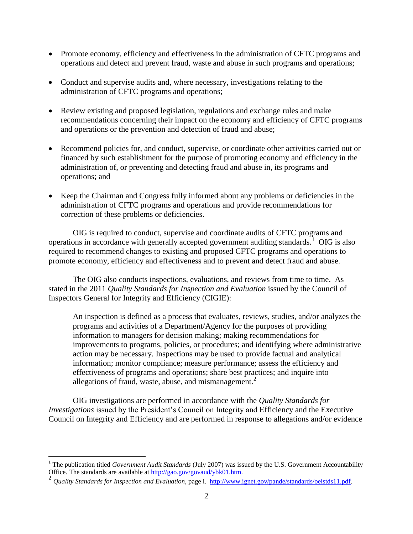- Promote economy, efficiency and effectiveness in the administration of CFTC programs and operations and detect and prevent fraud, waste and abuse in such programs and operations;
- Conduct and supervise audits and, where necessary, investigations relating to the administration of CFTC programs and operations;
- Review existing and proposed legislation, regulations and exchange rules and make recommendations concerning their impact on the economy and efficiency of CFTC programs and operations or the prevention and detection of fraud and abuse;
- Recommend policies for, and conduct, supervise, or coordinate other activities carried out or financed by such establishment for the purpose of promoting economy and efficiency in the administration of, or preventing and detecting fraud and abuse in, its programs and operations; and
- Keep the Chairman and Congress fully informed about any problems or deficiencies in the administration of CFTC programs and operations and provide recommendations for correction of these problems or deficiencies.

OIG is required to conduct, supervise and coordinate audits of CFTC programs and operations in accordance with generally accepted government auditing standards.<sup>1</sup> OIG is also required to recommend changes to existing and proposed CFTC programs and operations to promote economy, efficiency and effectiveness and to prevent and detect fraud and abuse.

The OIG also conducts inspections, evaluations, and reviews from time to time. As stated in the 2011 *Quality Standards for Inspection and Evaluation* issued by the Council of Inspectors General for Integrity and Efficiency (CIGIE):

An inspection is defined as a process that evaluates, reviews, studies, and/or analyzes the programs and activities of a Department/Agency for the purposes of providing information to managers for decision making; making recommendations for improvements to programs, policies, or procedures; and identifying where administrative action may be necessary. Inspections may be used to provide factual and analytical information; monitor compliance; measure performance; assess the efficiency and effectiveness of programs and operations; share best practices; and inquire into allegations of fraud, waste, abuse, and mismanagement. $2$ 

OIG investigations are performed in accordance with the *Quality Standards for Investigations* issued by the President's Council on Integrity and Efficiency and the Executive Council on Integrity and Efficiency and are performed in response to allegations and/or evidence

 $\overline{a}$ 

<sup>&</sup>lt;sup>1</sup> The publication titled *Government Audit Standards* (July 2007) was issued by the U.S. Government Accountability Office. The standards are available at http://gao.gov/govaud/ybk01.htm.

<sup>2</sup> *Quality Standards for Inspection and Evaluation,* page i. [http://www.ignet.gov/pande/standards/oeistds11.pdf.](http://www.ignet.gov/pande/standards/oeistds11.pdf)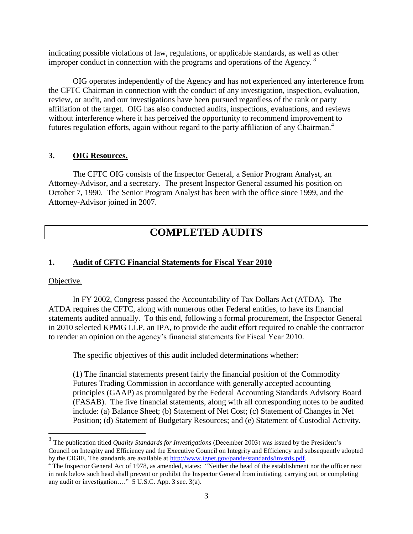indicating possible violations of law, regulations, or applicable standards, as well as other improper conduct in connection with the programs and operations of the Agency.<sup>3</sup>

OIG operates independently of the Agency and has not experienced any interference from the CFTC Chairman in connection with the conduct of any investigation, inspection, evaluation, review, or audit, and our investigations have been pursued regardless of the rank or party affiliation of the target. OIG has also conducted audits, inspections, evaluations, and reviews without interference where it has perceived the opportunity to recommend improvement to futures regulation efforts, again without regard to the party affiliation of any Chairman.<sup>4</sup>

#### <span id="page-10-0"></span>**3. OIG Resources.**

The CFTC OIG consists of the Inspector General, a Senior Program Analyst, an Attorney-Advisor, and a secretary. The present Inspector General assumed his position on October 7, 1990. The Senior Program Analyst has been with the office since 1999, and the Attorney-Advisor joined in 2007.

## <span id="page-10-2"></span><span id="page-10-1"></span>**COMPLETED AUDITS**

#### **1. Audit of CFTC Financial Statements for Fiscal Year 2010**

#### Objective.

 $\overline{a}$ 

In FY 2002, Congress passed the Accountability of Tax Dollars Act (ATDA). The ATDA requires the CFTC, along with numerous other Federal entities, to have its financial statements audited annually. To this end, following a formal procurement, the Inspector General in 2010 selected KPMG LLP, an IPA, to provide the audit effort required to enable the contractor to render an opinion on the agency's financial statements for Fiscal Year 2010.

The specific objectives of this audit included determinations whether:

(1) The financial statements present fairly the financial position of the Commodity Futures Trading Commission in accordance with generally accepted accounting principles (GAAP) as promulgated by the Federal Accounting Standards Advisory Board (FASAB). The five financial statements, along with all corresponding notes to be audited include: (a) Balance Sheet; (b) Statement of Net Cost; (c) Statement of Changes in Net Position; (d) Statement of Budgetary Resources; and (e) Statement of Custodial Activity.

<sup>3</sup> The publication titled *Quality Standards for Investigations* (December 2003) was issued by the President's Council on Integrity and Efficiency and the Executive Council on Integrity and Efficiency and subsequently adopted by the CIGIE. The standards are available at [http://www.ignet.gov/pande/standards/invstds.pdf.](http://www.ignet.gov/pande/standards/invstds.pdf)

<sup>&</sup>lt;sup>4</sup> The Inspector General Act of 1978, as amended, states: "Neither the head of the establishment nor the officer next in rank below such head shall prevent or prohibit the Inspector General from initiating, carrying out, or completing any audit or investigation...."  $5$  U.S.C. App. 3 sec. 3(a).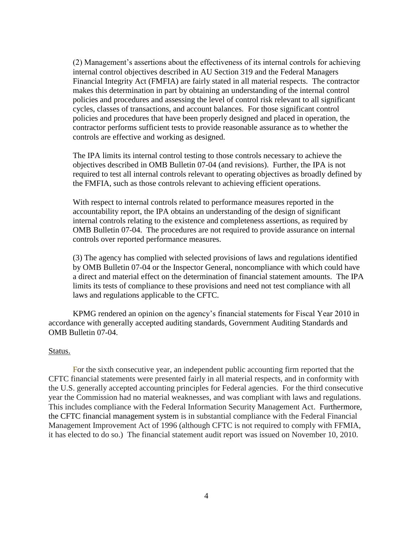(2) Management's assertions about the effectiveness of its internal controls for achieving internal control objectives described in AU Section 319 and the Federal Managers Financial Integrity Act (FMFIA) are fairly stated in all material respects. The contractor makes this determination in part by obtaining an understanding of the internal control policies and procedures and assessing the level of control risk relevant to all significant cycles, classes of transactions, and account balances. For those significant control policies and procedures that have been properly designed and placed in operation, the contractor performs sufficient tests to provide reasonable assurance as to whether the controls are effective and working as designed.

The IPA limits its internal control testing to those controls necessary to achieve the objectives described in OMB Bulletin 07-04 (and revisions). Further, the IPA is not required to test all internal controls relevant to operating objectives as broadly defined by the FMFIA, such as those controls relevant to achieving efficient operations.

With respect to internal controls related to performance measures reported in the accountability report, the IPA obtains an understanding of the design of significant internal controls relating to the existence and completeness assertions, as required by OMB Bulletin 07-04. The procedures are not required to provide assurance on internal controls over reported performance measures.

(3) The agency has complied with selected provisions of laws and regulations identified by OMB Bulletin 07-04 or the Inspector General, noncompliance with which could have a direct and material effect on the determination of financial statement amounts. The IPA limits its tests of compliance to these provisions and need not test compliance with all laws and regulations applicable to the CFTC.

KPMG rendered an opinion on the agency's financial statements for Fiscal Year 2010 in accordance with generally accepted auditing standards, Government Auditing Standards and OMB Bulletin 07-04.

#### Status.

For the sixth consecutive year, an independent public accounting firm reported that the CFTC financial statements were presented fairly in all material respects, and in conformity with the U.S. generally accepted accounting principles for Federal agencies. For the third consecutive year the Commission had no material weaknesses, and was compliant with laws and regulations. This includes compliance with the Federal Information Security Management Act. Furthermore, the CFTC financial management system is in substantial compliance with the Federal Financial Management Improvement Act of 1996 (although CFTC is not required to comply with FFMIA, it has elected to do so.) The financial statement audit report was issued on November 10, 2010.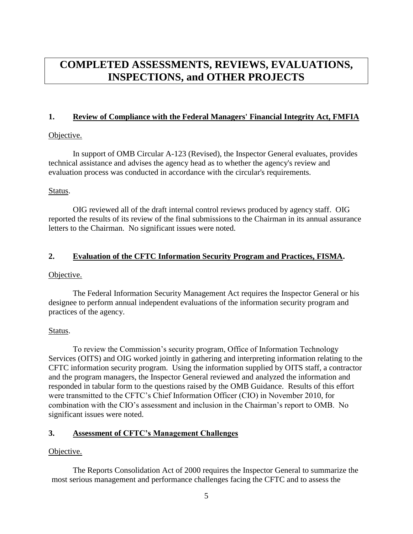## <span id="page-12-1"></span><span id="page-12-0"></span>**COMPLETED ASSESSMENTS, REVIEWS, EVALUATIONS, INSPECTIONS, and OTHER PROJECTS**

#### **1. Review of Compliance with the Federal Managers' Financial Integrity Act, FMFIA**

#### Objective.

In support of OMB Circular A-123 (Revised), the Inspector General evaluates, provides technical assistance and advises the agency head as to whether the agency's review and evaluation process was conducted in accordance with the circular's requirements.

#### Status.

OIG reviewed all of the draft internal control reviews produced by agency staff. OIG reported the results of its review of the final submissions to the Chairman in its annual assurance letters to the Chairman. No significant issues were noted.

## <span id="page-12-2"></span>**2. Evaluation of the CFTC Information Security Program and Practices, FISMA.**

#### Objective.

The Federal Information Security Management Act requires the Inspector General or his designee to perform annual independent evaluations of the information security program and practices of the agency.

## Status.

To review the Commission's security program, Office of Information Technology Services (OITS) and OIG worked jointly in gathering and interpreting information relating to the CFTC information security program. Using the information supplied by OITS staff, a contractor and the program managers, the Inspector General reviewed and analyzed the information and responded in tabular form to the questions raised by the OMB Guidance. Results of this effort were transmitted to the CFTC's Chief Information Officer (CIO) in November 2010, for combination with the CIO's assessment and inclusion in the Chairman's report to OMB. No significant issues were noted.

## <span id="page-12-3"></span>**3. Assessment of CFTC's Management Challenges**

## Objective.

The Reports Consolidation Act of 2000 requires the Inspector General to summarize the most serious management and performance challenges facing the CFTC and to assess the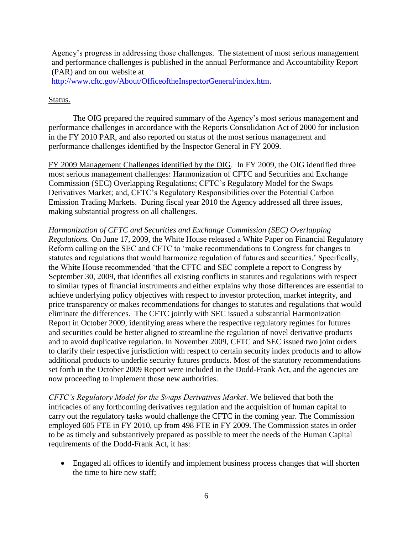Agency's progress in addressing those challenges. The statement of most serious management and performance challenges is published in the annual Performance and Accountability Report (PAR) and on our website at

[http://www.cftc.gov/About/OfficeoftheInspectorGeneral/index.htm.](http://www.cftc.gov/About/OfficeoftheInspectorGeneral/index.htm)

## Status.

The OIG prepared the required summary of the Agency's most serious management and performance challenges in accordance with the Reports Consolidation Act of 2000 for inclusion in the FY 2010 PAR, and also reported on status of the most serious management and performance challenges identified by the Inspector General in FY 2009.

FY 2009 Management Challenges identified by the OIG. In FY 2009, the OIG identified three most serious management challenges: Harmonization of CFTC and Securities and Exchange Commission (SEC) Overlapping Regulations; CFTC's Regulatory Model for the Swaps Derivatives Market; and, CFTC's Regulatory Responsibilities over the Potential Carbon Emission Trading Markets. During fiscal year 2010 the Agency addressed all three issues, making substantial progress on all challenges.

*Harmonization of CFTC and Securities and Exchange Commission (SEC) Overlapping Regulations.* On June 17, 2009, the White House released a White Paper on Financial Regulatory Reform calling on the SEC and CFTC to 'make recommendations to Congress for changes to statutes and regulations that would harmonize regulation of futures and securities.' Specifically, the White House recommended 'that the CFTC and SEC complete a report to Congress by September 30, 2009, that identifies all existing conflicts in statutes and regulations with respect to similar types of financial instruments and either explains why those differences are essential to achieve underlying policy objectives with respect to investor protection, market integrity, and price transparency or makes recommendations for changes to statutes and regulations that would eliminate the differences. The CFTC jointly with SEC issued a substantial Harmonization Report in October 2009, identifying areas where the respective regulatory regimes for futures and securities could be better aligned to streamline the regulation of novel derivative products and to avoid duplicative regulation. In November 2009, CFTC and SEC issued two joint orders to clarify their respective jurisdiction with respect to certain security index products and to allow additional products to underlie security futures products. Most of the statutory recommendations set forth in the October 2009 Report were included in the Dodd-Frank Act, and the agencies are now proceeding to implement those new authorities.

*CFTC's Regulatory Model for the Swaps Derivatives Market*. We believed that both the intricacies of any forthcoming derivatives regulation and the acquisition of human capital to carry out the regulatory tasks would challenge the CFTC in the coming year. The Commission employed 605 FTE in FY 2010, up from 498 FTE in FY 2009. The Commission states in order to be as timely and substantively prepared as possible to meet the needs of the Human Capital requirements of the Dodd-Frank Act, it has:

 Engaged all offices to identify and implement business process changes that will shorten the time to hire new staff;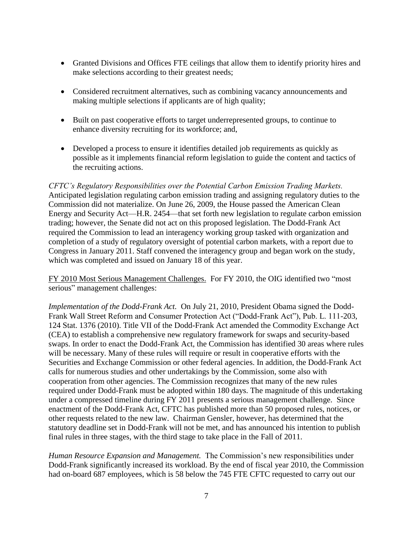- Granted Divisions and Offices FTE ceilings that allow them to identify priority hires and make selections according to their greatest needs;
- Considered recruitment alternatives, such as combining vacancy announcements and making multiple selections if applicants are of high quality;
- Built on past cooperative efforts to target underrepresented groups, to continue to enhance diversity recruiting for its workforce; and,
- Developed a process to ensure it identifies detailed job requirements as quickly as possible as it implements financial reform legislation to guide the content and tactics of the recruiting actions.

*CFTC's Regulatory Responsibilities over the Potential Carbon Emission Trading Markets.* Anticipated legislation regulating carbon emission trading and assigning regulatory duties to the Commission did not materialize. On June 26, 2009, the House passed the American Clean Energy and Security Act—H.R. 2454—that set forth new legislation to regulate carbon emission trading; however, the Senate did not act on this proposed legislation. The Dodd-Frank Act required the Commission to lead an interagency working group tasked with organization and completion of a study of regulatory oversight of potential carbon markets, with a report due to Congress in January 2011. Staff convened the interagency group and began work on the study, which was completed and issued on January 18 of this year.

FY 2010 Most Serious Management Challenges. For FY 2010, the OIG identified two "most serious" management challenges:

*Implementation of the Dodd-Frank Act.* On July 21, 2010, President Obama signed the Dodd-Frank Wall Street Reform and Consumer Protection Act ("Dodd-Frank Act"), Pub. L. 111-203, 124 Stat. 1376 (2010). Title VII of the Dodd-Frank Act amended the Commodity Exchange Act (CEA) to establish a comprehensive new regulatory framework for swaps and security-based swaps. In order to enact the Dodd-Frank Act, the Commission has identified 30 areas where rules will be necessary. Many of these rules will require or result in cooperative efforts with the Securities and Exchange Commission or other federal agencies. In addition, the Dodd-Frank Act calls for numerous studies and other undertakings by the Commission, some also with cooperation from other agencies. The Commission recognizes that many of the new rules required under Dodd-Frank must be adopted within 180 days. The magnitude of this undertaking under a compressed timeline during FY 2011 presents a serious management challenge. Since enactment of the Dodd-Frank Act, CFTC has published more than 50 proposed rules, notices, or other requests related to the new law. Chairman Gensler, however, has determined that the statutory deadline set in Dodd-Frank will not be met, and has announced his intention to publish final rules in three stages, with the third stage to take place in the Fall of 2011.

*Human Resource Expansion and Management.* The Commission's new responsibilities under Dodd-Frank significantly increased its workload. By the end of fiscal year 2010, the Commission had on-board 687 employees, which is 58 below the 745 FTE CFTC requested to carry out our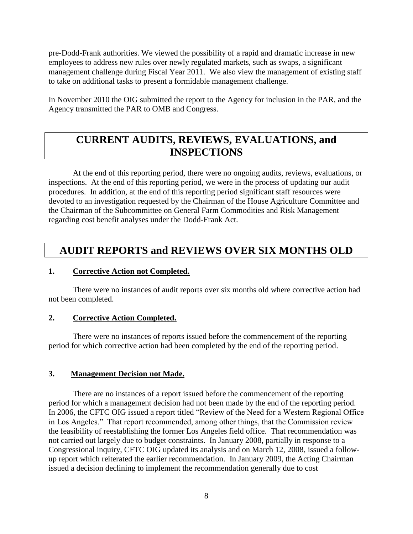pre-Dodd-Frank authorities. We viewed the possibility of a rapid and dramatic increase in new employees to address new rules over newly regulated markets, such as swaps, a significant management challenge during Fiscal Year 2011. We also view the management of existing staff to take on additional tasks to present a formidable management challenge.

In November 2010 the OIG submitted the report to the Agency for inclusion in the PAR, and the Agency transmitted the PAR to OMB and Congress.

## <span id="page-15-0"></span>**CURRENT AUDITS, REVIEWS, EVALUATIONS, and INSPECTIONS**

At the end of this reporting period, there were no ongoing audits, reviews, evaluations, or inspections. At the end of this reporting period, we were in the process of updating our audit procedures. In addition, at the end of this reporting period significant staff resources were devoted to an investigation requested by the Chairman of the House Agriculture Committee and the Chairman of the Subcommittee on General Farm Commodities and Risk Management regarding cost benefit analyses under the Dodd-Frank Act.

## <span id="page-15-2"></span><span id="page-15-1"></span>**AUDIT REPORTS and REVIEWS OVER SIX MONTHS OLD**

### **1. Corrective Action not Completed.**

There were no instances of audit reports over six months old where corrective action had not been completed.

#### <span id="page-15-3"></span>**2. Corrective Action Completed.**

There were no instances of reports issued before the commencement of the reporting period for which corrective action had been completed by the end of the reporting period.

## <span id="page-15-4"></span>**3. Management Decision not Made.**

There are no instances of a report issued before the commencement of the reporting period for which a management decision had not been made by the end of the reporting period. In 2006, the CFTC OIG issued a report titled "Review of the Need for a Western Regional Office in Los Angeles." That report recommended, among other things, that the Commission review the feasibility of reestablishing the former Los Angeles field office. That recommendation was not carried out largely due to budget constraints. In January 2008, partially in response to a Congressional inquiry, CFTC OIG updated its analysis and on March 12, 2008, issued a followup report which reiterated the earlier recommendation. In January 2009, the Acting Chairman issued a decision declining to implement the recommendation generally due to cost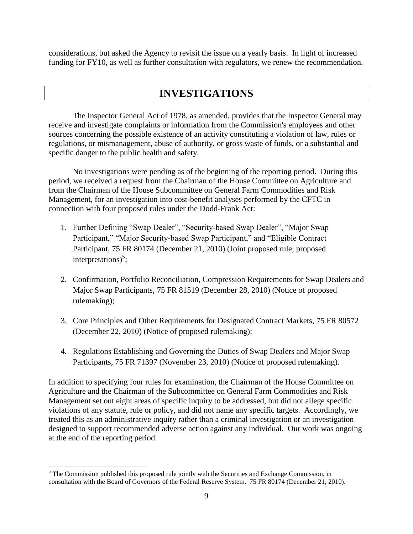considerations, but asked the Agency to revisit the issue on a yearly basis. In light of increased funding for FY10, as well as further consultation with regulators, we renew the recommendation.

## <span id="page-16-0"></span>**INVESTIGATIONS**

The Inspector General Act of 1978, as amended, provides that the Inspector General may receive and investigate complaints or information from the Commission's employees and other sources concerning the possible existence of an activity constituting a violation of law, rules or regulations, or mismanagement, abuse of authority, or gross waste of funds, or a substantial and specific danger to the public health and safety.

No investigations were pending as of the beginning of the reporting period. During this period, we received a request from the Chairman of the House Committee on Agriculture and from the Chairman of the House Subcommittee on General Farm Commodities and Risk Management, for an investigation into cost-benefit analyses performed by the CFTC in connection with four proposed rules under the Dodd-Frank Act:

- 1. Further Defining "Swap Dealer", "Security-based Swap Dealer", "Major Swap Participant," "Major Security-based Swap Participant," and "Eligible Contract Participant, 75 FR 80174 (December 21, 2010) (Joint proposed rule; proposed interpretations)<sup>5</sup>;
- 2. Confirmation, Portfolio Reconciliation, Compression Requirements for Swap Dealers and Major Swap Participants, 75 FR 81519 (December 28, 2010) (Notice of proposed rulemaking);
- 3. Core Principles and Other Requirements for Designated Contract Markets, 75 FR 80572 (December 22, 2010) (Notice of proposed rulemaking);
- 4. Regulations Establishing and Governing the Duties of Swap Dealers and Major Swap Participants, 75 FR 71397 (November 23, 2010) (Notice of proposed rulemaking).

In addition to specifying four rules for examination, the Chairman of the House Committee on Agriculture and the Chairman of the Subcommittee on General Farm Commodities and Risk Management set out eight areas of specific inquiry to be addressed, but did not allege specific violations of any statute, rule or policy, and did not name any specific targets. Accordingly, we treated this as an administrative inquiry rather than a criminal investigation or an investigation designed to support recommended adverse action against any individual. Our work was ongoing at the end of the reporting period.

 $\overline{a}$ <sup>5</sup> The Commission published this proposed rule jointly with the Securities and Exchange Commission, in consultation with the Board of Governors of the Federal Reserve System. 75 FR 80174 (December 21, 2010).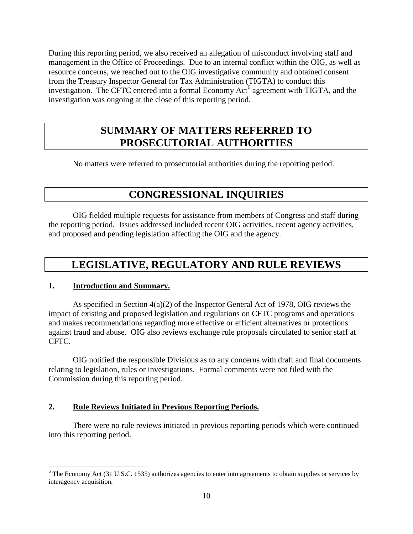During this reporting period, we also received an allegation of misconduct involving staff and management in the Office of Proceedings. Due to an internal conflict within the OIG, as well as resource concerns, we reached out to the OIG investigative community and obtained consent from the Treasury Inspector General for Tax Administration (TIGTA) to conduct this investigation. The CFTC entered into a formal Economy  $Act^6$  agreement with TIGTA, and the investigation was ongoing at the close of this reporting period.

## **SUMMARY OF MATTERS REFERRED TO PROSECUTORIAL AUTHORITIES**

No matters were referred to prosecutorial authorities during the reporting period.

## <span id="page-17-2"></span><span id="page-17-1"></span><span id="page-17-0"></span>**CONGRESSIONAL INQUIRIES**

OIG fielded multiple requests for assistance from members of Congress and staff during the reporting period. Issues addressed included recent OIG activities, recent agency activities, and proposed and pending legislation affecting the OIG and the agency.

## <span id="page-17-3"></span>**LEGISLATIVE, REGULATORY AND RULE REVIEWS**

## **1. Introduction and Summary.**

 $\overline{a}$ 

As specified in Section 4(a)(2) of the Inspector General Act of 1978, OIG reviews the impact of existing and proposed legislation and regulations on CFTC programs and operations and makes recommendations regarding more effective or efficient alternatives or protections against fraud and abuse. OIG also reviews exchange rule proposals circulated to senior staff at CFTC.

OIG notified the responsible Divisions as to any concerns with draft and final documents relating to legislation, rules or investigations. Formal comments were not filed with the Commission during this reporting period.

## <span id="page-17-4"></span>**2. Rule Reviews Initiated in Previous Reporting Periods.**

There were no rule reviews initiated in previous reporting periods which were continued into this reporting period.

<sup>&</sup>lt;sup>6</sup> The Economy Act (31 [U.S.C.](http://uscode.house.gov/) 1535) authorizes agencies to enter into agreements to obtain supplies or services by interagency acquisition.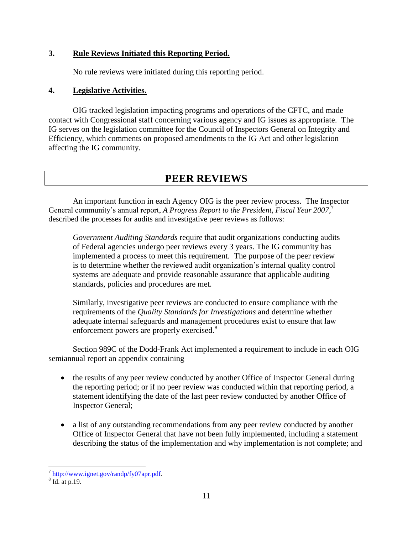## **3. Rule Reviews Initiated this Reporting Period.**

<span id="page-18-1"></span>No rule reviews were initiated during this reporting period.

#### **4. Legislative Activities.**

OIG tracked legislation impacting programs and operations of the CFTC, and made contact with Congressional staff concerning various agency and IG issues as appropriate. The IG serves on the legislation committee for the Council of Inspectors General on Integrity and Efficiency, which comments on proposed amendments to the IG Act and other legislation affecting the IG community.

## <span id="page-18-2"></span><span id="page-18-0"></span>**PEER REVIEWS**

An important function in each Agency OIG is the peer review process. The Inspector General community's annual report, *A Progress Report to the President, Fiscal Year 2007*, 7 described the processes for audits and investigative peer reviews as follows:

*Government Auditing Standards* require that audit organizations conducting audits of Federal agencies undergo peer reviews every 3 years. The IG community has implemented a process to meet this requirement. The purpose of the peer review is to determine whether the reviewed audit organization's internal quality control systems are adequate and provide reasonable assurance that applicable auditing standards, policies and procedures are met.

Similarly, investigative peer reviews are conducted to ensure compliance with the requirements of the *Quality Standards for Investigations* and determine whether adequate internal safeguards and management procedures exist to ensure that law enforcement powers are properly exercised.<sup>8</sup>

Section 989C of the Dodd-Frank Act implemented a requirement to include in each OIG semiannual report an appendix containing

- the results of any peer review conducted by another Office of Inspector General during the reporting period; or if no peer review was conducted within that reporting period, a statement identifying the date of the last peer review conducted by another Office of Inspector General;
- a list of any outstanding recommendations from any peer review conducted by another Office of Inspector General that have not been fully implemented, including a statement describing the status of the implementation and why implementation is not complete; and

<sup>&</sup>lt;sup>7</sup> [http://www.ignet.gov/randp/fy07apr.pdf.](http://www.ignet.gov/randp/fy07apr.pdf)

<sup>8</sup> Id. at p.19.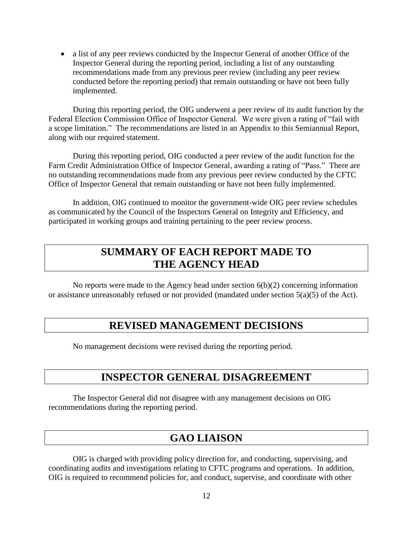a list of any peer reviews conducted by the Inspector General of another Office of the Inspector General during the reporting period, including a list of any outstanding recommendations made from any previous peer review (including any peer review conducted before the reporting period) that remain outstanding or have not been fully implemented.

During this reporting period, the OIG underwent a peer review of its audit function by the Federal Election Commission Office of Inspector General. We were given a rating of "fail with a scope limitation." The recommendations are listed in an Appendix to this Semiannual Report, along with our required statement.

During this reporting period, OIG conducted a peer review of the audit function for the Farm Credit Administration Office of Inspector General, awarding a rating of "Pass." There are no outstanding recommendations made from any previous peer review conducted by the CFTC Office of Inspector General that remain outstanding or have not been fully implemented.

In addition, OIG continued to monitor the government-wide OIG peer review schedules as communicated by the Council of the Inspectors General on Integrity and Efficiency, and participated in working groups and training pertaining to the peer review process.

## <span id="page-19-0"></span>**SUMMARY OF EACH REPORT MADE TO THE AGENCY HEAD**

No reports were made to the Agency head under section 6(b)(2) concerning information or assistance unreasonably refused or not provided (mandated under section 5(a)(5) of the Act).

## **REVISED MANAGEMENT DECISIONS**

No management decisions were revised during the reporting period.

## **INSPECTOR GENERAL DISAGREEMENT**

The Inspector General did not disagree with any management decisions on OIG recommendations during the reporting period.

## <span id="page-19-3"></span><span id="page-19-2"></span><span id="page-19-1"></span>**GAO LIAISON**

OIG is charged with providing policy direction for, and conducting, supervising, and coordinating audits and investigations relating to CFTC programs and operations. In addition, OIG is required to recommend policies for, and conduct, supervise, and coordinate with other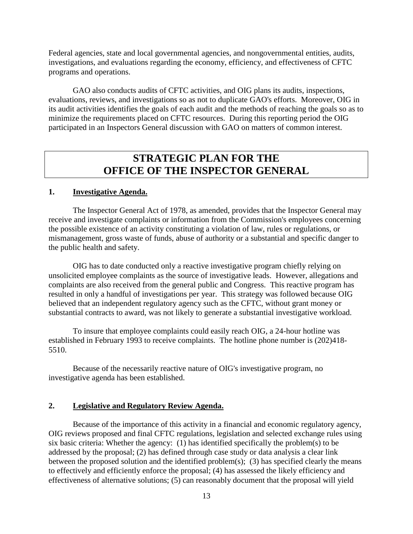Federal agencies, state and local governmental agencies, and nongovernmental entities, audits, investigations, and evaluations regarding the economy, efficiency, and effectiveness of CFTC programs and operations.

GAO also conducts audits of CFTC activities, and OIG plans its audits, inspections, evaluations, reviews, and investigations so as not to duplicate GAO's efforts. Moreover, OIG in its audit activities identifies the goals of each audit and the methods of reaching the goals so as to minimize the requirements placed on CFTC resources. During this reporting period the OIG participated in an Inspectors General discussion with GAO on matters of common interest.

## <span id="page-20-1"></span><span id="page-20-0"></span>**STRATEGIC PLAN FOR THE OFFICE OF THE INSPECTOR GENERAL**

#### **1. Investigative Agenda.**

The Inspector General Act of 1978, as amended, provides that the Inspector General may receive and investigate complaints or information from the Commission's employees concerning the possible existence of an activity constituting a violation of law, rules or regulations, or mismanagement, gross waste of funds, abuse of authority or a substantial and specific danger to the public health and safety.

OIG has to date conducted only a reactive investigative program chiefly relying on unsolicited employee complaints as the source of investigative leads. However, allegations and complaints are also received from the general public and Congress. This reactive program has resulted in only a handful of investigations per year. This strategy was followed because OIG believed that an independent regulatory agency such as the CFTC, without grant money or substantial contracts to award, was not likely to generate a substantial investigative workload.

To insure that employee complaints could easily reach OIG, a 24-hour hotline was established in February 1993 to receive complaints. The hotline phone number is (202)418- 5510.

Because of the necessarily reactive nature of OIG's investigative program, no investigative agenda has been established.

#### <span id="page-20-2"></span>**2. Legislative and Regulatory Review Agenda.**

Because of the importance of this activity in a financial and economic regulatory agency, OIG reviews proposed and final CFTC regulations, legislation and selected exchange rules using six basic criteria: Whether the agency: (1) has identified specifically the problem(s) to be addressed by the proposal; (2) has defined through case study or data analysis a clear link between the proposed solution and the identified problem(s); (3) has specified clearly the means to effectively and efficiently enforce the proposal; (4) has assessed the likely efficiency and effectiveness of alternative solutions; (5) can reasonably document that the proposal will yield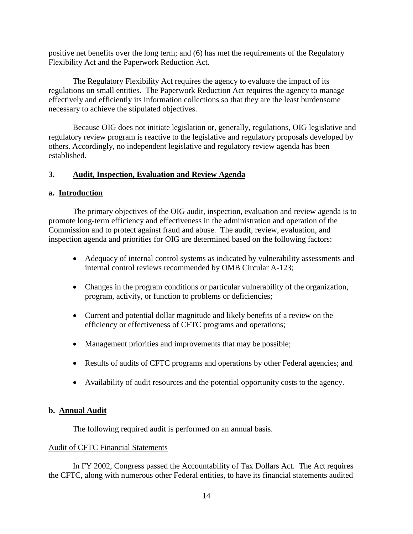positive net benefits over the long term; and (6) has met the requirements of the Regulatory Flexibility Act and the Paperwork Reduction Act.

The Regulatory Flexibility Act requires the agency to evaluate the impact of its regulations on small entities. The Paperwork Reduction Act requires the agency to manage effectively and efficiently its information collections so that they are the least burdensome necessary to achieve the stipulated objectives.

Because OIG does not initiate legislation or, generally, regulations, OIG legislative and regulatory review program is reactive to the legislative and regulatory proposals developed by others. Accordingly, no independent legislative and regulatory review agenda has been established.

## **3. Audit, Inspection, Evaluation and Review Agenda**

#### <span id="page-21-1"></span>**a. Introduction**

The primary objectives of the OIG audit, inspection, evaluation and review agenda is to promote long-term efficiency and effectiveness in the administration and operation of the Commission and to protect against fraud and abuse. The audit, review, evaluation, and inspection agenda and priorities for OIG are determined based on the following factors:

- <span id="page-21-0"></span> Adequacy of internal control systems as indicated by vulnerability assessments and internal control reviews recommended by OMB Circular A-123;
- Changes in the program conditions or particular vulnerability of the organization, program, activity, or function to problems or deficiencies;
- Current and potential dollar magnitude and likely benefits of a review on the efficiency or effectiveness of CFTC programs and operations;
- Management priorities and improvements that may be possible;
- Results of audits of CFTC programs and operations by other Federal agencies; and
- Availability of audit resources and the potential opportunity costs to the agency.

#### **b. Annual Audit**

<span id="page-21-2"></span>The following required audit is performed on an annual basis.

#### Audit of CFTC Financial Statements

In FY 2002, Congress passed the Accountability of Tax Dollars Act. The Act requires the CFTC, along with numerous other Federal entities, to have its financial statements audited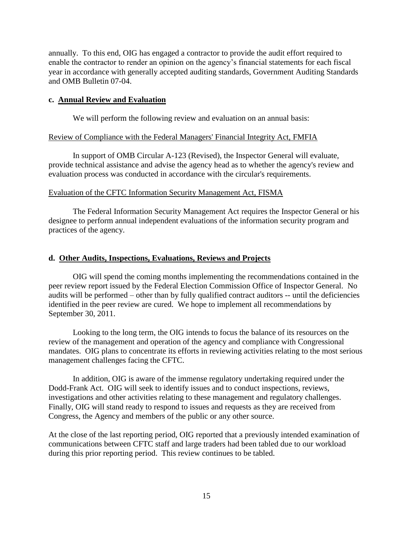annually. To this end, OIG has engaged a contractor to provide the audit effort required to enable the contractor to render an opinion on the agency's financial statements for each fiscal year in accordance with generally accepted auditing standards, Government Auditing Standards and OMB Bulletin 07-04.

#### **c. Annual Review and Evaluation**

<span id="page-22-0"></span>We will perform the following review and evaluation on an annual basis:

#### Review of Compliance with the Federal Managers' Financial Integrity Act, FMFIA

In support of OMB Circular A-123 (Revised), the Inspector General will evaluate, provide technical assistance and advise the agency head as to whether the agency's review and evaluation process was conducted in accordance with the circular's requirements.

#### Evaluation of the CFTC Information Security Management Act, FISMA

The Federal Information Security Management Act requires the Inspector General or his designee to perform annual independent evaluations of the information security program and practices of the agency.

#### <span id="page-22-1"></span>**d. Other Audits, Inspections, Evaluations, Reviews and Projects**

OIG will spend the coming months implementing the recommendations contained in the peer review report issued by the Federal Election Commission Office of Inspector General. No audits will be performed – other than by fully qualified contract auditors -- until the deficiencies identified in the peer review are cured. We hope to implement all recommendations by September 30, 2011.

Looking to the long term, the OIG intends to focus the balance of its resources on the review of the management and operation of the agency and compliance with Congressional mandates. OIG plans to concentrate its efforts in reviewing activities relating to the most serious management challenges facing the CFTC.

In addition, OIG is aware of the immense regulatory undertaking required under the Dodd-Frank Act. OIG will seek to identify issues and to conduct inspections, reviews, investigations and other activities relating to these management and regulatory challenges. Finally, OIG will stand ready to respond to issues and requests as they are received from Congress, the Agency and members of the public or any other source.

At the close of the last reporting period, OIG reported that a previously intended examination of communications between CFTC staff and large traders had been tabled due to our workload during this prior reporting period. This review continues to be tabled.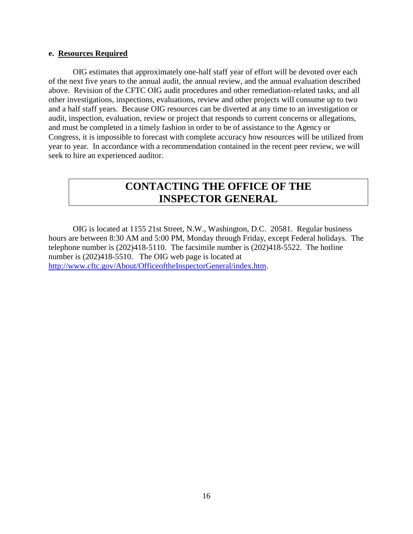#### <span id="page-23-0"></span>**e. Resources Required**

OIG estimates that approximately one-half staff year of effort will be devoted over each of the next five years to the annual audit, the annual review, and the annual evaluation described above. Revision of the CFTC OIG audit procedures and other remediation-related tasks, and all other investigations, inspections, evaluations, review and other projects will consume up to two and a half staff years. Because OIG resources can be diverted at any time to an investigation or audit, inspection, evaluation, review or project that responds to current concerns or allegations, and must be completed in a timely fashion in order to be of assistance to the Agency or Congress, it is impossible to forecast with complete accuracy how resources will be utilized from year to year. In accordance with a recommendation contained in the recent peer review, we will seek to hire an experienced auditor.

## <span id="page-23-1"></span>**CONTACTING THE OFFICE OF THE INSPECTOR GENERAL**

OIG is located at 1155 21st Street, N.W., Washington, D.C. 20581. Regular business hours are between 8:30 AM and 5:00 PM, Monday through Friday, except Federal holidays. The telephone number is (202)418-5110. The facsimile number is (202)418-5522. The hotline number is  $(202)418-5510$ . The OIG web page is located at [http://www.cftc.gov/About/OfficeoftheInspectorGeneral/index.htm.](http://www.cftc.gov/About/OfficeoftheInspectorGeneral/index.htm)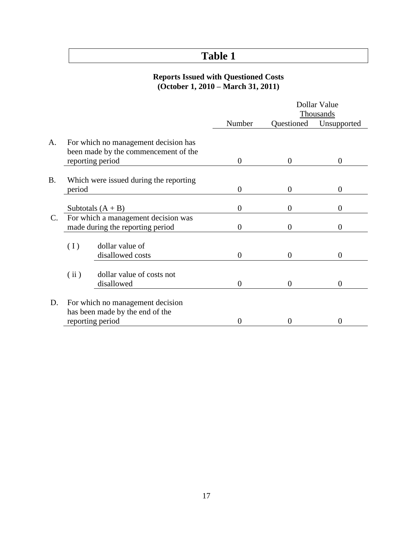## <span id="page-24-0"></span>**Table 1**

#### **Reports Issued with Questioned Costs (October 1, 2010 – March 31, 2011)**

|                |        |                                        | Dollar Value     |                |                |
|----------------|--------|----------------------------------------|------------------|----------------|----------------|
|                |        |                                        |                  |                | Thousands      |
|                |        |                                        | Number           | Questioned     | Unsupported    |
|                |        |                                        |                  |                |                |
| A.             |        | For which no management decision has   |                  |                |                |
|                |        | been made by the commencement of the   |                  |                |                |
|                |        | reporting period                       | $\boldsymbol{0}$ | $\overline{0}$ | $\overline{0}$ |
|                |        |                                        |                  |                |                |
| <b>B.</b>      |        | Which were issued during the reporting |                  |                |                |
|                | period |                                        | $\overline{0}$   | $\overline{0}$ | $\overline{0}$ |
|                |        |                                        |                  |                |                |
|                |        | Subtotals $(A + B)$                    | $\overline{0}$   | $\overline{0}$ | $\Omega$       |
| $\mathbf{C}$ . |        | For which a management decision was    |                  |                |                |
|                |        | made during the reporting period       | $\overline{0}$   | $\overline{0}$ | $\theta$       |
|                |        |                                        |                  |                |                |
|                | (1)    | dollar value of                        |                  |                |                |
|                |        | disallowed costs                       | $\theta$         | 0              | $\Omega$       |
|                |        |                                        |                  |                |                |
|                | (iii)  | dollar value of costs not              |                  |                |                |
|                |        | disallowed                             | $\theta$         | $\overline{0}$ | $\theta$       |
| D.             |        | For which no management decision       |                  |                |                |
|                |        | has been made by the end of the        |                  |                |                |
|                |        |                                        |                  |                |                |
|                |        | reporting period                       | 0                | 0              | $\Omega$       |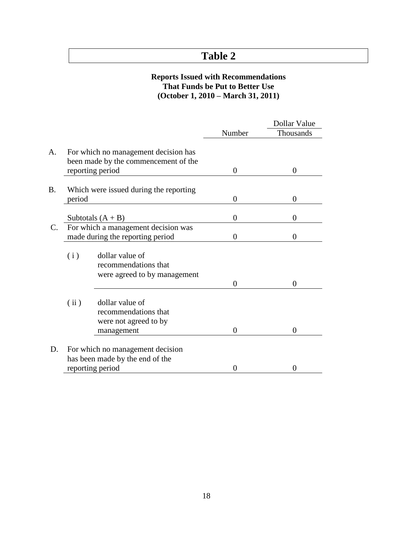## <span id="page-25-0"></span>**Table 2**

### **Reports Issued with Recommendations That Funds be Put to Better Use (October 1, 2010 – March 31, 2011)**

|             |                                                                                                  |                | Dollar Value   |
|-------------|--------------------------------------------------------------------------------------------------|----------------|----------------|
|             |                                                                                                  | Number         | Thousands      |
| A.          | For which no management decision has<br>been made by the commencement of the<br>reporting period | $\theta$       | $\Omega$       |
| <b>B.</b>   | Which were issued during the reporting<br>period                                                 | $\theta$       | $\overline{0}$ |
|             | Subtotals $(A + B)$                                                                              | $\overline{0}$ | 0              |
| $C_{\cdot}$ | For which a management decision was<br>made during the reporting period                          | $\theta$       | 0              |
|             | dollar value of<br>(i)<br>recommendations that<br>were agreed to by management                   | $\Omega$       | 0              |
|             | (i)<br>dollar value of<br>recommendations that<br>were not agreed to by<br>management            | $\overline{0}$ | 0              |
| D.          | For which no management decision<br>has been made by the end of the                              |                |                |
|             | reporting period                                                                                 | $\Omega$       | $\Omega$       |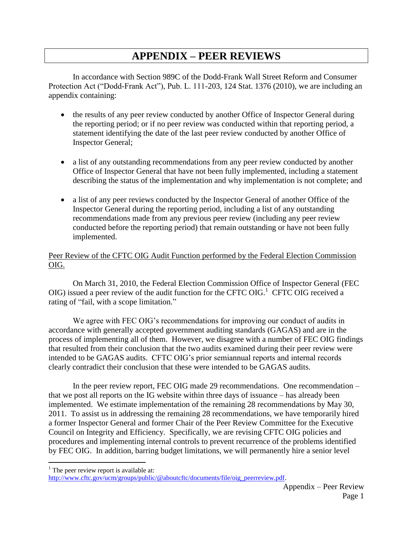## <span id="page-26-0"></span>**APPENDIX – PEER REVIEWS**

In accordance with Section 989C of the Dodd-Frank Wall Street Reform and Consumer Protection Act ("Dodd-Frank Act"), Pub. L. 111-203, 124 Stat. 1376 (2010), we are including an appendix containing:

- the results of any peer review conducted by another Office of Inspector General during the reporting period; or if no peer review was conducted within that reporting period, a statement identifying the date of the last peer review conducted by another Office of Inspector General;
- a list of any outstanding recommendations from any peer review conducted by another Office of Inspector General that have not been fully implemented, including a statement describing the status of the implementation and why implementation is not complete; and
- a list of any peer reviews conducted by the Inspector General of another Office of the Inspector General during the reporting period, including a list of any outstanding recommendations made from any previous peer review (including any peer review conducted before the reporting period) that remain outstanding or have not been fully implemented.

## Peer Review of the CFTC OIG Audit Function performed by the Federal Election Commission OIG.

On March 31, 2010, the Federal Election Commission Office of Inspector General (FEC OIG) issued a peer review of the audit function for the CFTC OIG. CFTC OIG received a rating of "fail, with a scope limitation."

We agree with FEC OIG's recommendations for improving our conduct of audits in accordance with generally accepted government auditing standards (GAGAS) and are in the process of implementing all of them. However, we disagree with a number of FEC OIG findings that resulted from their conclusion that the two audits examined during their peer review were intended to be GAGAS audits. CFTC OIG's prior semiannual reports and internal records clearly contradict their conclusion that these were intended to be GAGAS audits.

In the peer review report, FEC OIG made 29 recommendations. One recommendation – that we post all reports on the IG website within three days of issuance – has already been implemented. We estimate implementation of the remaining 28 recommendations by May 30, 2011. To assist us in addressing the remaining 28 recommendations, we have temporarily hired a former Inspector General and former Chair of the Peer Review Committee for the Executive Council on Integrity and Efficiency. Specifically, we are revising CFTC OIG policies and procedures and implementing internal controls to prevent recurrence of the problems identified by FEC OIG. In addition, barring budget limitations, we will permanently hire a senior level

 $\overline{a}$ 

 $<sup>1</sup>$  The peer review report is available at:</sup>

[http://www.cftc.gov/ucm/groups/public/@aboutcftc/documents/file/oig\\_peerreview.pdf.](http://www.cftc.gov/ucm/groups/public/@aboutcftc/documents/file/oig_peerreview.pdf)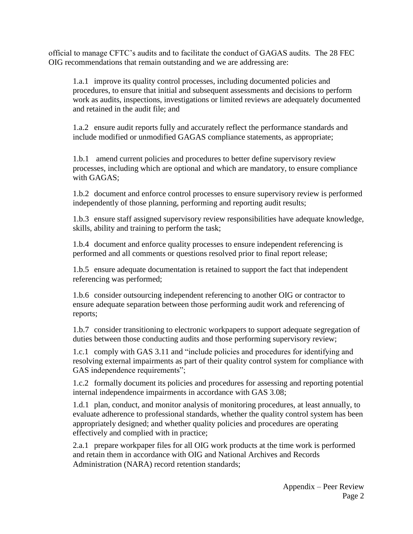official to manage CFTC's audits and to facilitate the conduct of GAGAS audits. The 28 FEC OIG recommendations that remain outstanding and we are addressing are:

1.a.1 improve its quality control processes, including documented policies and procedures, to ensure that initial and subsequent assessments and decisions to perform work as audits, inspections, investigations or limited reviews are adequately documented and retained in the audit file; and

1.a.2 ensure audit reports fully and accurately reflect the performance standards and include modified or unmodified GAGAS compliance statements, as appropriate;

1.b.1 amend current policies and procedures to better define supervisory review processes, including which are optional and which are mandatory, to ensure compliance with GAGAS;

1.b.2 document and enforce control processes to ensure supervisory review is performed independently of those planning, performing and reporting audit results;

1.b.3 ensure staff assigned supervisory review responsibilities have adequate knowledge, skills, ability and training to perform the task;

1.b.4 document and enforce quality processes to ensure independent referencing is performed and all comments or questions resolved prior to final report release;

1.b.5 ensure adequate documentation is retained to support the fact that independent referencing was performed;

1.b.6 consider outsourcing independent referencing to another OIG or contractor to ensure adequate separation between those performing audit work and referencing of reports;

1.b.7 consider transitioning to electronic workpapers to support adequate segregation of duties between those conducting audits and those performing supervisory review;

1.c.1 comply with GAS 3.11 and "include policies and procedures for identifying and resolving external impairments as part of their quality control system for compliance with GAS independence requirements";

1.c.2 formally document its policies and procedures for assessing and reporting potential internal independence impairments in accordance with GAS 3.08;

1.d.1 plan, conduct, and monitor analysis of monitoring procedures, at least annually, to evaluate adherence to professional standards, whether the quality control system has been appropriately designed; and whether quality policies and procedures are operating effectively and complied with in practice;

2.a.1 prepare workpaper files for all OIG work products at the time work is performed and retain them in accordance with OIG and National Archives and Records Administration (NARA) record retention standards;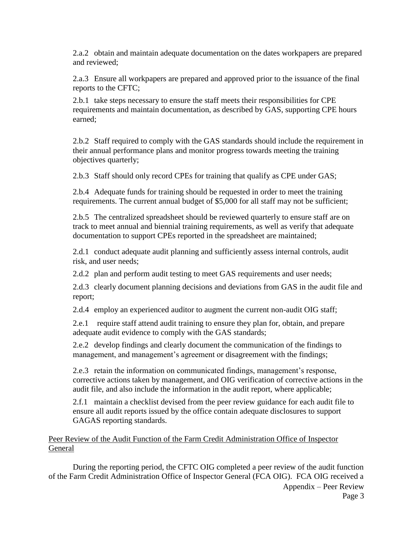2.a.2 obtain and maintain adequate documentation on the dates workpapers are prepared and reviewed;

2.a.3 Ensure all workpapers are prepared and approved prior to the issuance of the final reports to the CFTC;

2.b.1 take steps necessary to ensure the staff meets their responsibilities for CPE requirements and maintain documentation, as described by GAS, supporting CPE hours earned;

2.b.2 Staff required to comply with the GAS standards should include the requirement in their annual performance plans and monitor progress towards meeting the training objectives quarterly;

2.b.3 Staff should only record CPEs for training that qualify as CPE under GAS;

2.b.4 Adequate funds for training should be requested in order to meet the training requirements. The current annual budget of \$5,000 for all staff may not be sufficient;

2.b.5 The centralized spreadsheet should be reviewed quarterly to ensure staff are on track to meet annual and biennial training requirements, as well as verify that adequate documentation to support CPEs reported in the spreadsheet are maintained;

2.d.1 conduct adequate audit planning and sufficiently assess internal controls, audit risk, and user needs;

2.d.2 plan and perform audit testing to meet GAS requirements and user needs;

2.d.3 clearly document planning decisions and deviations from GAS in the audit file and report;

2.d.4 employ an experienced auditor to augment the current non-audit OIG staff;

2.e.1 require staff attend audit training to ensure they plan for, obtain, and prepare adequate audit evidence to comply with the GAS standards;

2.e.2 develop findings and clearly document the communication of the findings to management, and management's agreement or disagreement with the findings;

2.e.3 retain the information on communicated findings, management's response, corrective actions taken by management, and OIG verification of corrective actions in the audit file, and also include the information in the audit report, where applicable;

2.f.1 maintain a checklist devised from the peer review guidance for each audit file to ensure all audit reports issued by the office contain adequate disclosures to support GAGAS reporting standards.

Peer Review of the Audit Function of the Farm Credit Administration Office of Inspector General

Appendix – Peer Review During the reporting period, the CFTC OIG completed a peer review of the audit function of the Farm Credit Administration Office of Inspector General (FCA OIG). FCA OIG received a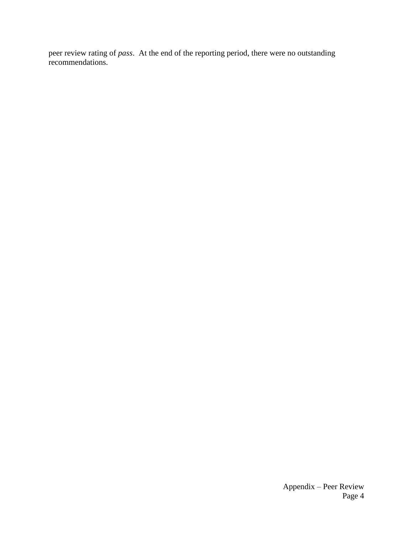peer review rating of *pass*. At the end of the reporting period, there were no outstanding recommendations.